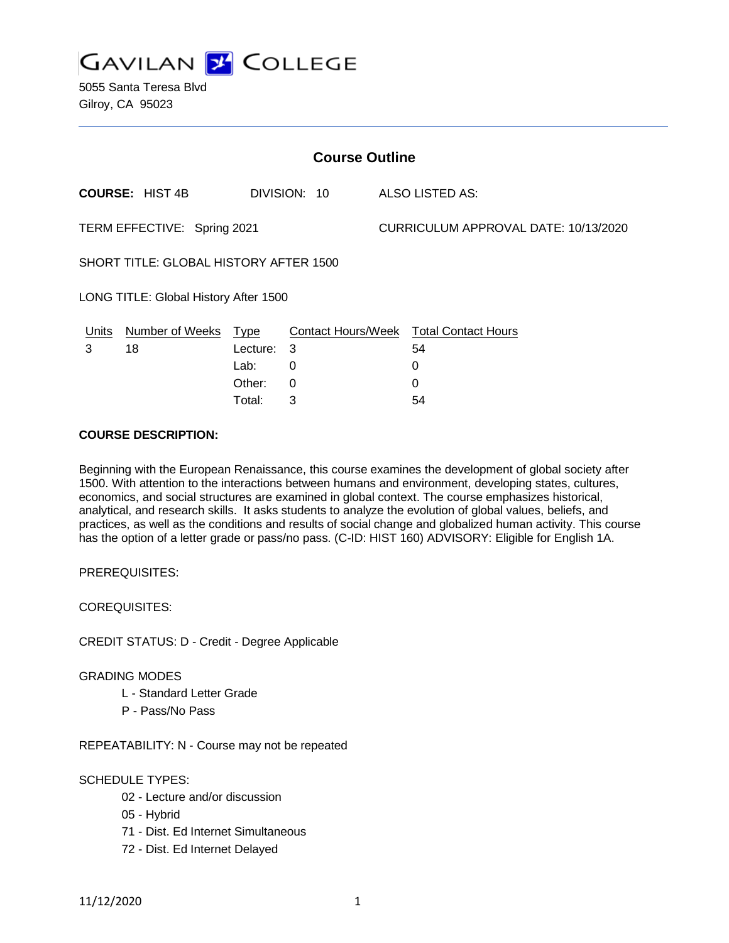

5055 Santa Teresa Blvd Gilroy, CA 95023

| <b>Course Outline</b>                  |                        |            |              |                                      |                                               |
|----------------------------------------|------------------------|------------|--------------|--------------------------------------|-----------------------------------------------|
|                                        | <b>COURSE: HIST 4B</b> |            | DIVISION: 10 |                                      | ALSO LISTED AS:                               |
| TERM EFFECTIVE: Spring 2021            |                        |            |              | CURRICULUM APPROVAL DATE: 10/13/2020 |                                               |
| SHORT TITLE: GLOBAL HISTORY AFTER 1500 |                        |            |              |                                      |                                               |
| LONG TITLE: Global History After 1500  |                        |            |              |                                      |                                               |
| <u>Units</u>                           | Number of Weeks Type   |            |              |                                      | <b>Contact Hours/Week Total Contact Hours</b> |
| 3                                      | 18                     | Lecture: 3 |              |                                      | 54                                            |
|                                        |                        | Lab:       | 0            |                                      | 0                                             |
|                                        |                        | Other:     | 0            |                                      | 0                                             |
|                                        |                        | Total:     | 3            |                                      | 54                                            |

#### **COURSE DESCRIPTION:**

Beginning with the European Renaissance, this course examines the development of global society after 1500. With attention to the interactions between humans and environment, developing states, cultures, economics, and social structures are examined in global context. The course emphasizes historical, analytical, and research skills. It asks students to analyze the evolution of global values, beliefs, and practices, as well as the conditions and results of social change and globalized human activity. This course has the option of a letter grade or pass/no pass. (C-ID: HIST 160) ADVISORY: Eligible for English 1A.

PREREQUISITES:

COREQUISITES:

CREDIT STATUS: D - Credit - Degree Applicable

#### GRADING MODES

- L Standard Letter Grade
- P Pass/No Pass

REPEATABILITY: N - Course may not be repeated

#### SCHEDULE TYPES:

- 02 Lecture and/or discussion
- 05 Hybrid
- 71 Dist. Ed Internet Simultaneous
- 72 Dist. Ed Internet Delayed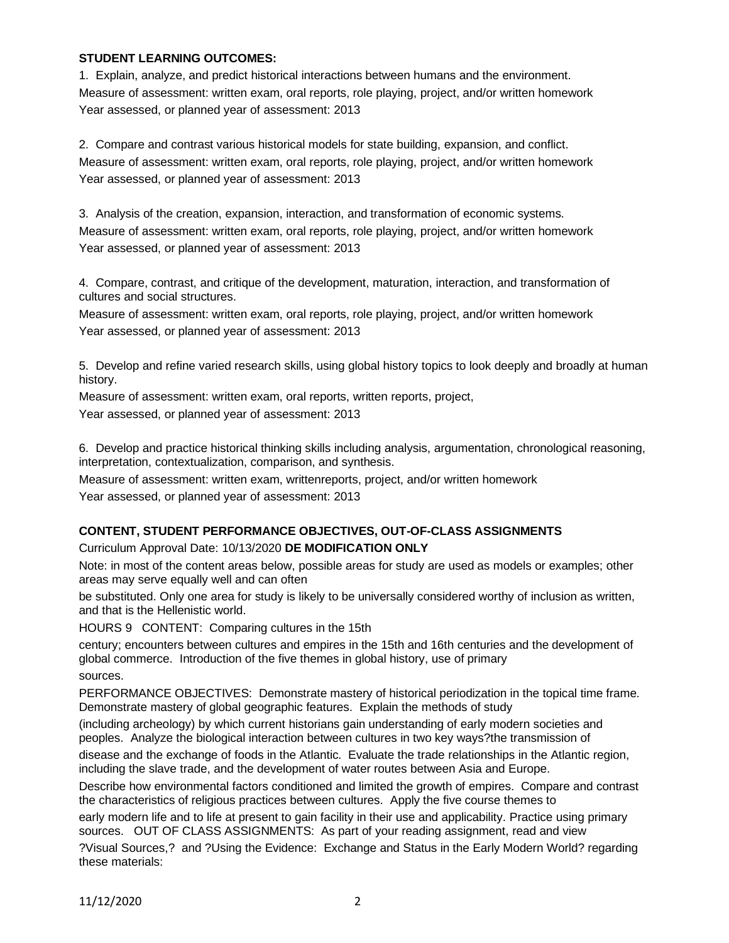#### **STUDENT LEARNING OUTCOMES:**

1. Explain, analyze, and predict historical interactions between humans and the environment. Measure of assessment: written exam, oral reports, role playing, project, and/or written homework Year assessed, or planned year of assessment: 2013

2. Compare and contrast various historical models for state building, expansion, and conflict. Measure of assessment: written exam, oral reports, role playing, project, and/or written homework Year assessed, or planned year of assessment: 2013

3. Analysis of the creation, expansion, interaction, and transformation of economic systems. Measure of assessment: written exam, oral reports, role playing, project, and/or written homework Year assessed, or planned year of assessment: 2013

4. Compare, contrast, and critique of the development, maturation, interaction, and transformation of cultures and social structures.

Measure of assessment: written exam, oral reports, role playing, project, and/or written homework Year assessed, or planned year of assessment: 2013

5. Develop and refine varied research skills, using global history topics to look deeply and broadly at human history.

Measure of assessment: written exam, oral reports, written reports, project,

Year assessed, or planned year of assessment: 2013

6. Develop and practice historical thinking skills including analysis, argumentation, chronological reasoning, interpretation, contextualization, comparison, and synthesis.

Measure of assessment: written exam, writtenreports, project, and/or written homework Year assessed, or planned year of assessment: 2013

## **CONTENT, STUDENT PERFORMANCE OBJECTIVES, OUT-OF-CLASS ASSIGNMENTS**

### Curriculum Approval Date: 10/13/2020 **DE MODIFICATION ONLY**

Note: in most of the content areas below, possible areas for study are used as models or examples; other areas may serve equally well and can often

be substituted. Only one area for study is likely to be universally considered worthy of inclusion as written, and that is the Hellenistic world.

HOURS 9 CONTENT: Comparing cultures in the 15th

century; encounters between cultures and empires in the 15th and 16th centuries and the development of global commerce. Introduction of the five themes in global history, use of primary

sources.

PERFORMANCE OBJECTIVES: Demonstrate mastery of historical periodization in the topical time frame. Demonstrate mastery of global geographic features. Explain the methods of study

(including archeology) by which current historians gain understanding of early modern societies and peoples. Analyze the biological interaction between cultures in two key ways?the transmission of

disease and the exchange of foods in the Atlantic. Evaluate the trade relationships in the Atlantic region, including the slave trade, and the development of water routes between Asia and Europe.

Describe how environmental factors conditioned and limited the growth of empires. Compare and contrast the characteristics of religious practices between cultures. Apply the five course themes to

early modern life and to life at present to gain facility in their use and applicability. Practice using primary sources. OUT OF CLASS ASSIGNMENTS: As part of your reading assignment, read and view

?Visual Sources,? and ?Using the Evidence: Exchange and Status in the Early Modern World? regarding these materials: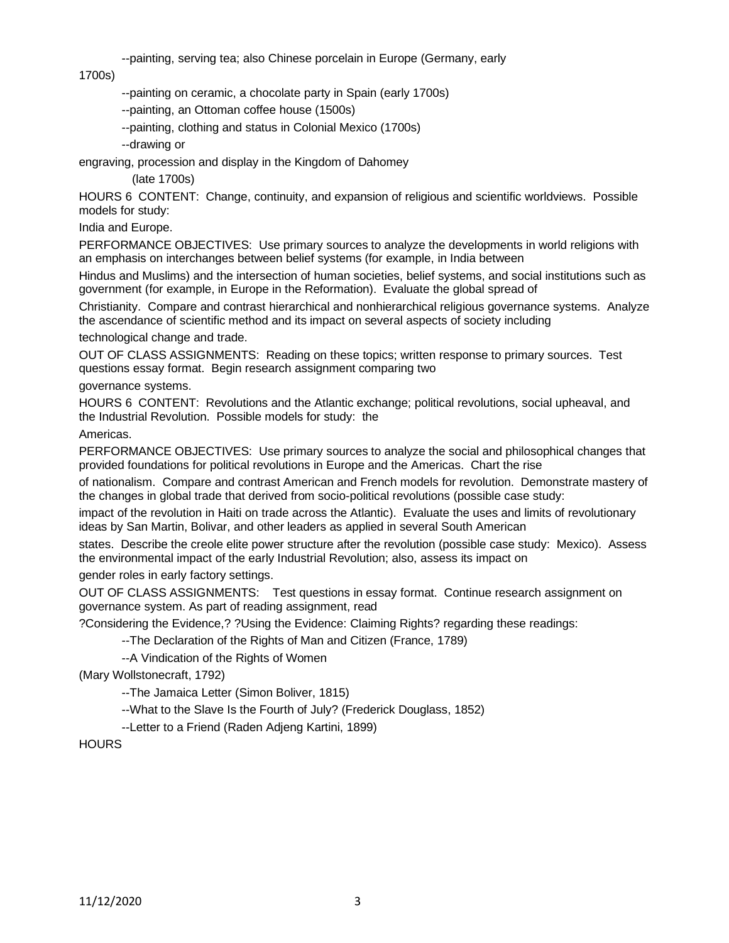--painting, serving tea; also Chinese porcelain in Europe (Germany, early

1700s)

--painting on ceramic, a chocolate party in Spain (early 1700s)

--painting, an Ottoman coffee house (1500s)

--painting, clothing and status in Colonial Mexico (1700s)

--drawing or

engraving, procession and display in the Kingdom of Dahomey

(late 1700s)

HOURS 6 CONTENT: Change, continuity, and expansion of religious and scientific worldviews. Possible models for study:

India and Europe.

PERFORMANCE OBJECTIVES: Use primary sources to analyze the developments in world religions with an emphasis on interchanges between belief systems (for example, in India between

Hindus and Muslims) and the intersection of human societies, belief systems, and social institutions such as government (for example, in Europe in the Reformation). Evaluate the global spread of

Christianity. Compare and contrast hierarchical and nonhierarchical religious governance systems. Analyze the ascendance of scientific method and its impact on several aspects of society including

technological change and trade.

OUT OF CLASS ASSIGNMENTS: Reading on these topics; written response to primary sources. Test questions essay format. Begin research assignment comparing two

governance systems.

HOURS 6 CONTENT: Revolutions and the Atlantic exchange; political revolutions, social upheaval, and the Industrial Revolution. Possible models for study: the

Americas.

PERFORMANCE OBJECTIVES: Use primary sources to analyze the social and philosophical changes that provided foundations for political revolutions in Europe and the Americas. Chart the rise

of nationalism. Compare and contrast American and French models for revolution. Demonstrate mastery of the changes in global trade that derived from socio-political revolutions (possible case study:

impact of the revolution in Haiti on trade across the Atlantic). Evaluate the uses and limits of revolutionary ideas by San Martin, Bolivar, and other leaders as applied in several South American

states. Describe the creole elite power structure after the revolution (possible case study: Mexico). Assess the environmental impact of the early Industrial Revolution; also, assess its impact on

gender roles in early factory settings.

OUT OF CLASS ASSIGNMENTS: Test questions in essay format. Continue research assignment on governance system. As part of reading assignment, read

?Considering the Evidence,? ?Using the Evidence: Claiming Rights? regarding these readings:

--The Declaration of the Rights of Man and Citizen (France, 1789)

--A Vindication of the Rights of Women

(Mary Wollstonecraft, 1792)

--The Jamaica Letter (Simon Boliver, 1815)

--What to the Slave Is the Fourth of July? (Frederick Douglass, 1852)

--Letter to a Friend (Raden Adjeng Kartini, 1899)

**HOURS**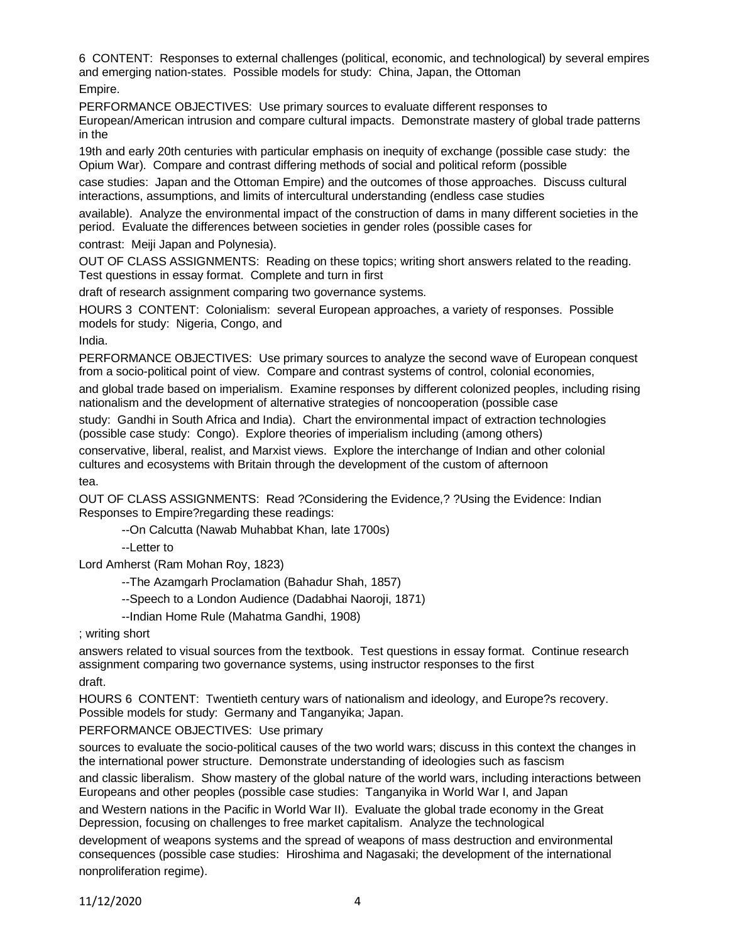6 CONTENT: Responses to external challenges (political, economic, and technological) by several empires and emerging nation-states. Possible models for study: China, Japan, the Ottoman

Empire.

PERFORMANCE OBJECTIVES: Use primary sources to evaluate different responses to

European/American intrusion and compare cultural impacts. Demonstrate mastery of global trade patterns in the

19th and early 20th centuries with particular emphasis on inequity of exchange (possible case study: the Opium War). Compare and contrast differing methods of social and political reform (possible

case studies: Japan and the Ottoman Empire) and the outcomes of those approaches. Discuss cultural interactions, assumptions, and limits of intercultural understanding (endless case studies

available). Analyze the environmental impact of the construction of dams in many different societies in the period. Evaluate the differences between societies in gender roles (possible cases for

contrast: Meiji Japan and Polynesia).

OUT OF CLASS ASSIGNMENTS: Reading on these topics; writing short answers related to the reading. Test questions in essay format. Complete and turn in first

draft of research assignment comparing two governance systems.

HOURS 3 CONTENT: Colonialism: several European approaches, a variety of responses. Possible models for study: Nigeria, Congo, and

India.

PERFORMANCE OBJECTIVES: Use primary sources to analyze the second wave of European conquest from a socio-political point of view. Compare and contrast systems of control, colonial economies,

and global trade based on imperialism. Examine responses by different colonized peoples, including rising nationalism and the development of alternative strategies of noncooperation (possible case

study: Gandhi in South Africa and India). Chart the environmental impact of extraction technologies (possible case study: Congo). Explore theories of imperialism including (among others)

conservative, liberal, realist, and Marxist views. Explore the interchange of Indian and other colonial cultures and ecosystems with Britain through the development of the custom of afternoon tea.

OUT OF CLASS ASSIGNMENTS: Read ?Considering the Evidence,? ?Using the Evidence: Indian Responses to Empire?regarding these readings:

--On Calcutta (Nawab Muhabbat Khan, late 1700s)

--Letter to

Lord Amherst (Ram Mohan Roy, 1823)

--The Azamgarh Proclamation (Bahadur Shah, 1857)

--Speech to a London Audience (Dadabhai Naoroji, 1871)

--Indian Home Rule (Mahatma Gandhi, 1908)

; writing short

answers related to visual sources from the textbook. Test questions in essay format. Continue research assignment comparing two governance systems, using instructor responses to the first draft.

HOURS 6 CONTENT: Twentieth century wars of nationalism and ideology, and Europe?s recovery. Possible models for study: Germany and Tanganyika; Japan.

### PERFORMANCE OBJECTIVES: Use primary

sources to evaluate the socio-political causes of the two world wars; discuss in this context the changes in the international power structure. Demonstrate understanding of ideologies such as fascism

and classic liberalism. Show mastery of the global nature of the world wars, including interactions between Europeans and other peoples (possible case studies: Tanganyika in World War I, and Japan

and Western nations in the Pacific in World War II). Evaluate the global trade economy in the Great Depression, focusing on challenges to free market capitalism. Analyze the technological

development of weapons systems and the spread of weapons of mass destruction and environmental consequences (possible case studies: Hiroshima and Nagasaki; the development of the international nonproliferation regime).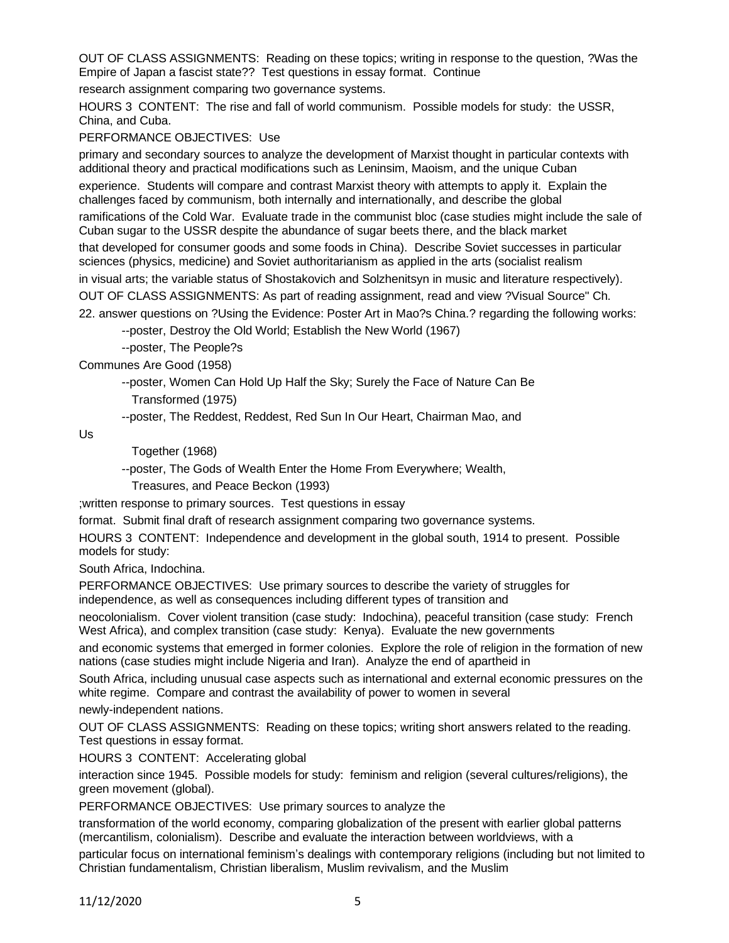OUT OF CLASS ASSIGNMENTS: Reading on these topics; writing in response to the question, ?Was the Empire of Japan a fascist state?? Test questions in essay format. Continue

research assignment comparing two governance systems.

HOURS 3 CONTENT: The rise and fall of world communism. Possible models for study: the USSR, China, and Cuba.

PERFORMANCE OBJECTIVES: Use

primary and secondary sources to analyze the development of Marxist thought in particular contexts with additional theory and practical modifications such as Leninsim, Maoism, and the unique Cuban

experience. Students will compare and contrast Marxist theory with attempts to apply it. Explain the challenges faced by communism, both internally and internationally, and describe the global

ramifications of the Cold War. Evaluate trade in the communist bloc (case studies might include the sale of Cuban sugar to the USSR despite the abundance of sugar beets there, and the black market

that developed for consumer goods and some foods in China). Describe Soviet successes in particular sciences (physics, medicine) and Soviet authoritarianism as applied in the arts (socialist realism

in visual arts; the variable status of Shostakovich and Solzhenitsyn in music and literature respectively).

OUT OF CLASS ASSIGNMENTS: As part of reading assignment, read and view ?Visual Source" Ch.

22. answer questions on ?Using the Evidence: Poster Art in Mao?s China.? regarding the following works:

--poster, Destroy the Old World; Establish the New World (1967)

--poster, The People?s

Communes Are Good (1958)

--poster, Women Can Hold Up Half the Sky; Surely the Face of Nature Can Be Transformed (1975)

--poster, The Reddest, Reddest, Red Sun In Our Heart, Chairman Mao, and

Us

Together (1968)

--poster, The Gods of Wealth Enter the Home From Everywhere; Wealth,

Treasures, and Peace Beckon (1993)

;written response to primary sources. Test questions in essay

format. Submit final draft of research assignment comparing two governance systems.

HOURS 3 CONTENT: Independence and development in the global south, 1914 to present. Possible models for study:

South Africa, Indochina.

PERFORMANCE OBJECTIVES: Use primary sources to describe the variety of struggles for independence, as well as consequences including different types of transition and

neocolonialism. Cover violent transition (case study: Indochina), peaceful transition (case study: French West Africa), and complex transition (case study: Kenya). Evaluate the new governments

and economic systems that emerged in former colonies. Explore the role of religion in the formation of new nations (case studies might include Nigeria and Iran). Analyze the end of apartheid in

South Africa, including unusual case aspects such as international and external economic pressures on the white regime. Compare and contrast the availability of power to women in several

newly-independent nations.

OUT OF CLASS ASSIGNMENTS: Reading on these topics; writing short answers related to the reading. Test questions in essay format.

HOURS 3 CONTENT: Accelerating global

interaction since 1945. Possible models for study: feminism and religion (several cultures/religions), the green movement (global).

PERFORMANCE OBJECTIVES: Use primary sources to analyze the

transformation of the world economy, comparing globalization of the present with earlier global patterns (mercantilism, colonialism). Describe and evaluate the interaction between worldviews, with a

particular focus on international feminism's dealings with contemporary religions (including but not limited to Christian fundamentalism, Christian liberalism, Muslim revivalism, and the Muslim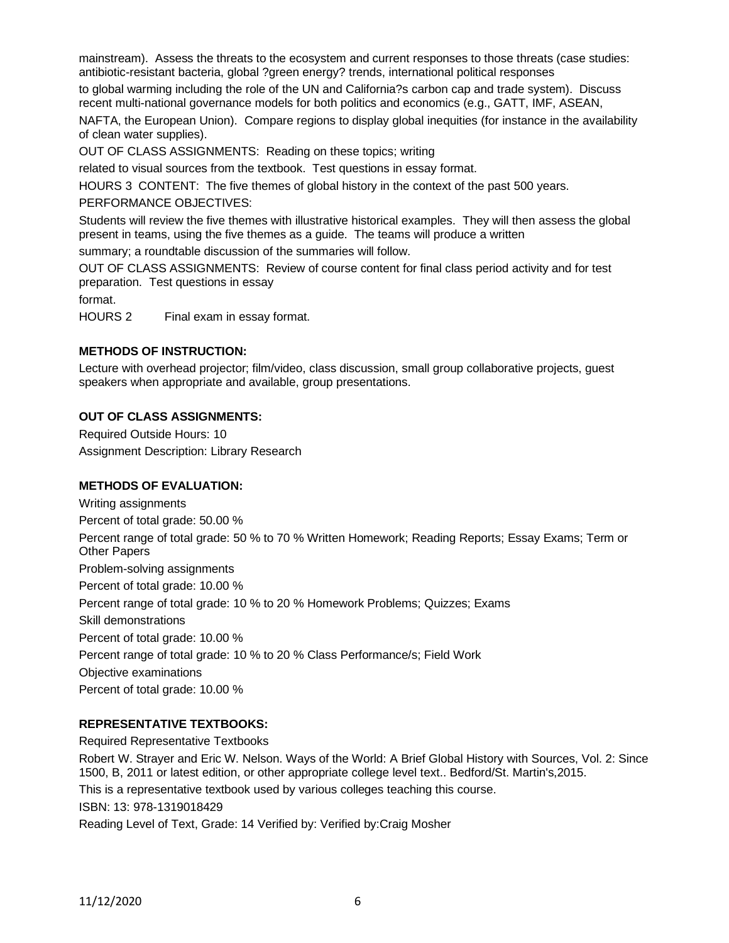mainstream). Assess the threats to the ecosystem and current responses to those threats (case studies: antibiotic-resistant bacteria, global ?green energy? trends, international political responses

to global warming including the role of the UN and California?s carbon cap and trade system). Discuss recent multi-national governance models for both politics and economics (e.g., GATT, IMF, ASEAN,

NAFTA, the European Union). Compare regions to display global inequities (for instance in the availability of clean water supplies).

OUT OF CLASS ASSIGNMENTS: Reading on these topics; writing

related to visual sources from the textbook. Test questions in essay format.

HOURS 3 CONTENT: The five themes of global history in the context of the past 500 years.

PERFORMANCE OBJECTIVES:

Students will review the five themes with illustrative historical examples. They will then assess the global present in teams, using the five themes as a guide. The teams will produce a written

summary; a roundtable discussion of the summaries will follow.

OUT OF CLASS ASSIGNMENTS: Review of course content for final class period activity and for test preparation. Test questions in essay

format.

HOURS 2 Final exam in essay format.

### **METHODS OF INSTRUCTION:**

Lecture with overhead projector; film/video, class discussion, small group collaborative projects, guest speakers when appropriate and available, group presentations.

### **OUT OF CLASS ASSIGNMENTS:**

Required Outside Hours: 10 Assignment Description: Library Research

## **METHODS OF EVALUATION:**

Writing assignments Percent of total grade: 50.00 % Percent range of total grade: 50 % to 70 % Written Homework; Reading Reports; Essay Exams; Term or Other Papers Problem-solving assignments Percent of total grade: 10.00 % Percent range of total grade: 10 % to 20 % Homework Problems; Quizzes; Exams Skill demonstrations Percent of total grade: 10.00 % Percent range of total grade: 10 % to 20 % Class Performance/s; Field Work Objective examinations Percent of total grade: 10.00 %

### **REPRESENTATIVE TEXTBOOKS:**

Required Representative Textbooks Robert W. Strayer and Eric W. Nelson. Ways of the World: A Brief Global History with Sources, Vol. 2: Since 1500, B, 2011 or latest edition, or other appropriate college level text.. Bedford/St. Martin's,2015. This is a representative textbook used by various colleges teaching this course. ISBN: 13: 978-1319018429 Reading Level of Text, Grade: 14 Verified by: Verified by:Craig Mosher